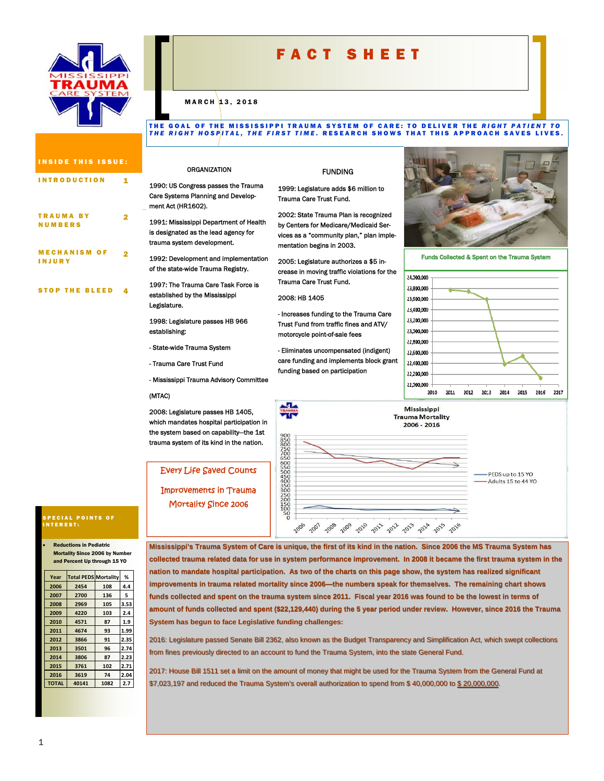

# FACT SHEET

MARCH 13, 2018

#### THE GOAL OF THE MISSISSIPPI TRAUMA SYSTEM OF CARE: TO DELIVER THE *RIGHT PATIENT TO THE RIGHT HOSPITAL, THE FIRST TIME* . RESEARCH SHOWS THAT THIS APPROACH SAVES LIVES.

FUNDING 1999: Legislature adds \$6 million to Trauma Care Trust Fund.

2002: State Trauma Plan is recognized by Centers for Medicare/Medicaid Services as a "community plan," plan imple-

2005: Legislature authorizes a \$5 increase in moving traffic violations for the

- Increases funding to the Trauma Care Trust Fund from traffic fines and ATV/ motorcycle point-of-sale fees

- Eliminates uncompensated (indigent) care funding and implements block grant funding based on participation

mentation begins in 2003.

Trauma Care Trust Fund.

2008: HB 1405

| <b>INSIDE THIS ISSUE:</b> |  |
|---------------------------|--|
| <b>INTRODUCTION</b>       |  |
|                           |  |
|                           |  |
| <b>TRAUMA BY</b>          |  |
| <b>NUMBERS</b>            |  |
|                           |  |

### MECHANISM OF INJURY

 $\bullet$ 

STOP THE BLEED 4

### **ORGANIZATION**

1990: US Congress passes the Trauma Care Systems Planning and Development Act (HR1602).

1991: Mississippi Department of Health is designated as the lead agency for trauma system development.

1992: Development and implementation of the state-wide Trauma Registry.

1997: The Trauma Care Task Force is established by the Mississippi Legislature.

1998: Legislature passes HB 966 establishing:

- State-wide Trauma System
- Trauma Care Trust Fund

- Mississippi Trauma Advisory Committee

#### (MTAC)

2008: Legislature passes HB 1405, which mandates hospital participation in the system based on capability—the 1st trauma system of its kind in the nation.

### Every Life Saved Counts

Improvements in Trauma Mortality Since 2006



Funds Collected & Spent on the Trauma System





#### **PECIAL POINTS OF** INTEREST:

#### Reductions in Pediatric Mortality Since 2006 by Number and Percent Up through 15 YO

| Year  | <b>Total PEDS Mortality</b> |      | %    |
|-------|-----------------------------|------|------|
| 2006  | 2454                        | 108  | 4.4  |
| 2007  | 2700                        | 136  | 5    |
| 2008  | 2969                        | 105  | 3.53 |
| 2009  | 4220                        | 103  | 2.4  |
| 2010  | 4571                        | 87   | 1.9  |
| 2011  | 4674                        | 93   | 1.99 |
| 2012  | 3866                        | 91   | 2.35 |
| 2013  | 3501                        | 96   | 2.74 |
| 2014  | 3806                        | 87   | 2.23 |
| 2015  | 3761                        | 102  | 2.71 |
| 2016  | 3619                        | 74   | 2.04 |
| TOTAL | 40141                       | 1082 | 2.7  |

Mississippi's Trauma System of Care is unique, the first of its kind in the nation. Since 2006 the MS Trauma System has collected trauma related data for use in system performance improvement. In 2008 it became the first trauma system in the **nation to mandate hospital participation. As two of the charts on this page show, the system has realized significant ge show, the system has realized significant improvements in trauma related mortality since 2006—the numbers speak for themselves. The remaining chart shows the numbers speak for themselves. The remaining chart shows**  funds collected and spent on the trauma system since 2011. Fiscal year 2016 was found to be the lowest in terms of amount of funds collected and spent (\$22,129,440) during the 5 year period under review. However, since 2016 the Trauma **System has begun to face Legislative funding challenges:** 

2016: Legislature passed Senate Bill 2362, also known as the Budget Transparency and Simplification Act, which swept collections from fines previously directed to an account to fund the Trauma System, into the state General Fund.

2017: House Bill 1511 set a limit on the amount of money that might be used for the Trauma System from the General Fund at \$7,023,197 and reduced the Trauma System's overall authorization to spend from \$ 40,000,000 to \$ 20,000,000.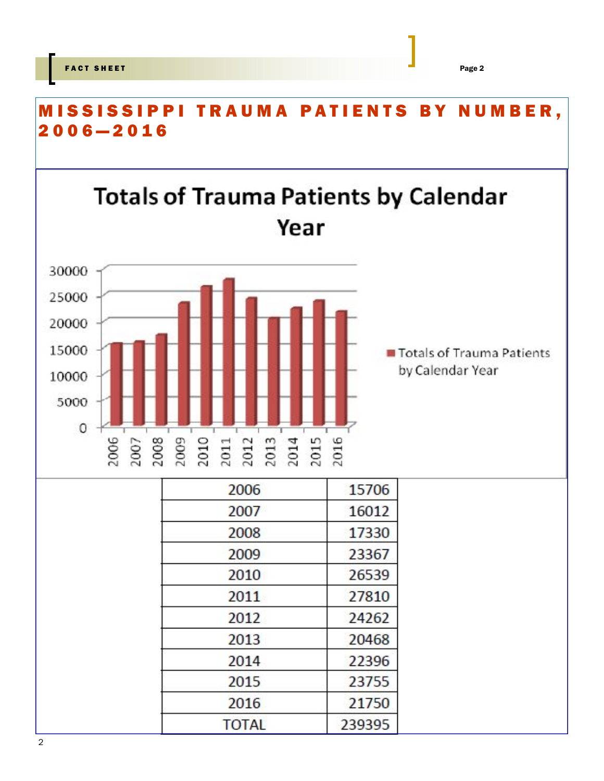# MISSISSIPPI TRAUMA PATIENTS BY NUMBER, 2006—2016

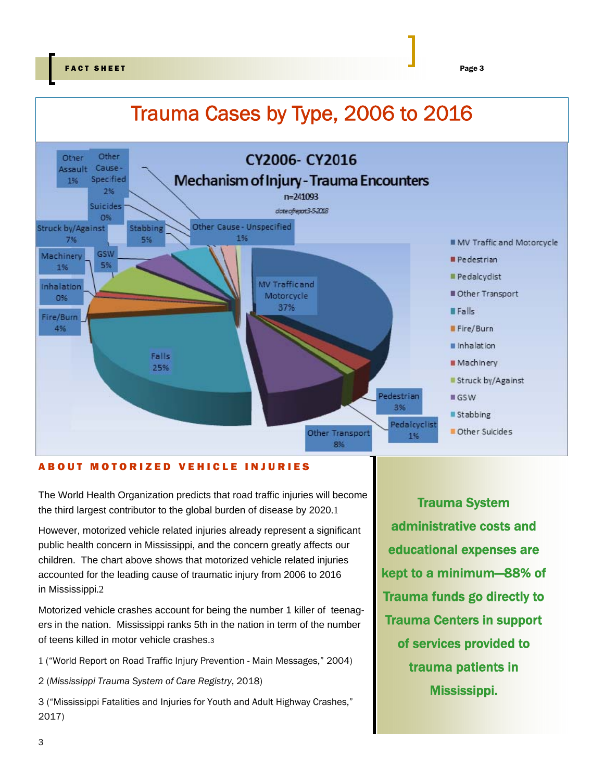FACT SHEET Page 3 Page 3 Page 3 Page 3 Page 3 Page 3 Page 3 Page 3 Page 3 Page 3 Page 3



### ABOUT MOTORIZED VEHICLE INJURIES

The World Health Organization predicts that road traffic injuries will become the third largest contributor to the global burden of disease by 2020.1

However, motorized vehicle related injuries already represent a significant public health concern in Mississippi, and the concern greatly affects our children. The chart above shows that motorized vehicle related injuries accounted for the leading cause of traumatic injury from 2006 to 2016 in Mississippi.2

Motorized vehicle crashes account for being the number 1 killer of teenagers in the nation. Mississippi ranks 5th in the nation in term of the number of teens killed in motor vehicle crashes.3

1 ("World Report on Road Traffic Injury Prevention - Main Messages," 2004)

2 (*Mississippi Trauma System of Care Registry*, 2018)

3 ("Mississippi Fatalities and Injuries for Youth and Adult Highway Crashes," 2017)

Trauma System administrative costs and educational expenses are kept to a minimum—88% of Trauma funds go directly to Trauma Centers in support of services provided to trauma patients in Mississippi.